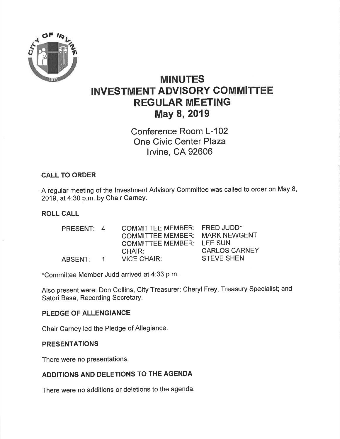

# MINUTES INVESTMENT ADVISORY COMMITTEE REGULAR MEETING May 8, 2019

Conference Room L-102 One Civic Center Plaza lrvine, CA 92606

# CALL TO ORDER

A regular meeting of the lnvestment Advisory Committee was called to order on May 8, 2019, at 4:30 p.m. by Chair CarneY.

## ROLL CALL

| PRESENT: 4  | <b>COMMITTEE MEMBER:</b> | <b>FRED JUDD*</b>    |
|-------------|--------------------------|----------------------|
|             | <b>COMMITTEE MEMBER:</b> | <b>MARK NEWGENT</b>  |
|             | <b>COMMITTEE MEMBER:</b> | <b>LEE SUN</b>       |
|             | CHAIR:                   | <b>CARLOS CARNEY</b> |
| $\mathbf 1$ | <b>VICE CHAIR:</b>       | <b>STEVE SHEN</b>    |
|             |                          |                      |

\*Committee Member Judd arrived at 4:33 p.m'

Also present were: Don Collins, City Treasurer; Cheryl Frey, Treasury Specialist; and Satori Basa, Recording Secretary.

## PLEDGE OF ALLENGIANCE

Chair Carney led the Pledge of Allegiance.

#### PRESENTATIONS

There were no presentations.

## ADDITIONS AND DELETIONS TO THE AGENDA

There were no additions or deletions to the agenda.